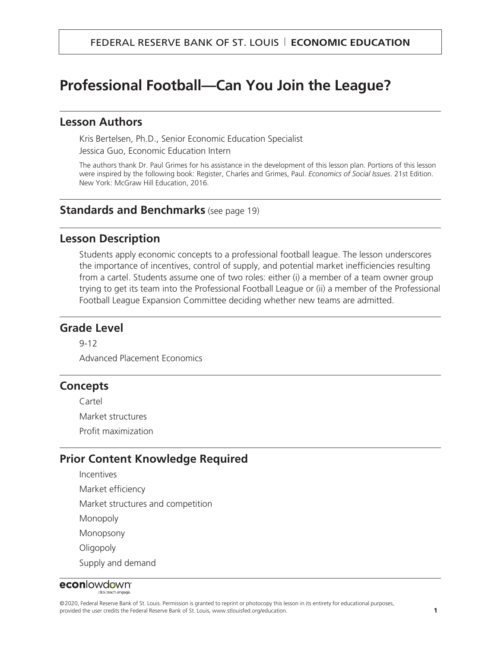# **Professional Football—Can You Join the League?**

#### **Lesson Authors**

Kris Bertelsen, Ph.D., Senior Economic Education Specialist Jessica Guo, Economic Education Intern

The authors thank Dr. Paul Grimes for his assistance in the development of this lesson plan. Portions of this lesson were inspired by the following book: Register, Charles and Grimes, Paul. *Economics of Social Issues*. 21st Edition. New York: McGraw Hill Education, 2016.

#### **Standards and Benchmarks** (see page 19)

#### **Lesson Description**

Students apply economic concepts to a professional football league. The lesson underscores the importance of incentives, control of supply, and potential market inefficiencies resulting from a cartel. Students assume one of two roles: either (i) a member of a team owner group trying to get its team into the Professional Football League or (ii) a member of the Professional Football League Expansion Committee deciding whether new teams are admitted.

#### **Grade Level**

9-12

Advanced Placement Economics

#### **Concepts**

Cartel Market structures Profit maximization

#### **Prior Content Knowledge Required**

Incentives

Market efficiency

Market structures and competition

Monopoly

Monopsony

**Oligopoly** 

Supply and demand

#### econlowdown<sup>®</sup> dick teach engage.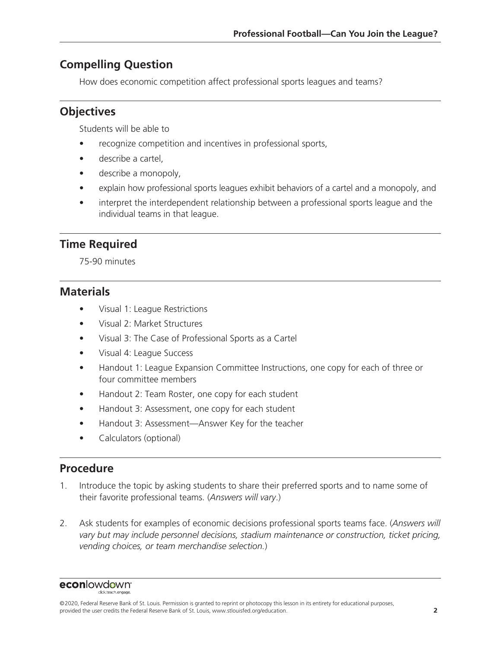## **Compelling Question**

How does economic competition affect professional sports leagues and teams?

# **Objectives**

Students will be able to

- recognize competition and incentives in professional sports,
- describe a cartel,
- describe a monopoly,
- explain how professional sports leagues exhibit behaviors of a cartel and a monopoly, and
- interpret the interdependent relationship between a professional sports league and the individual teams in that league.

# **Time Required**

75-90 minutes

### **Materials**

- Visual 1: League Restrictions
- Visual 2: Market Structures
- Visual 3: The Case of Professional Sports as a Cartel
- Visual 4: League Success
- Handout 1: League Expansion Committee Instructions, one copy for each of three or four committee members
- Handout 2: Team Roster, one copy for each student
- Handout 3: Assessment, one copy for each student
- Handout 3: Assessment—Answer Key for the teacher
- Calculators (optional)

### **Procedure**

- 1. Introduce the topic by asking students to share their preferred sports and to name some of their favorite professional teams. (*Answers will vary*.)
- 2. Ask students for examples of economic decisions professional sports teams face. (*Answers will vary but may include personnel decisions, stadium maintenance or construction, ticket pricing, vending choices, or team merchandise selection.*)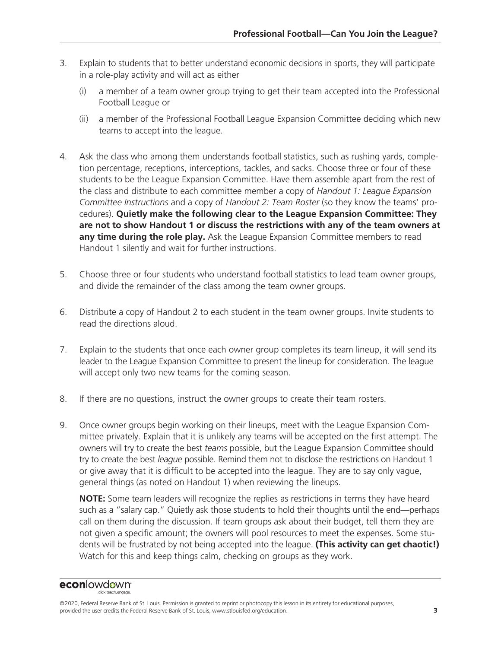- 3. Explain to students that to better understand economic decisions in sports, they will participate in a role-play activity and will act as either
	- (i) a member of a team owner group trying to get their team accepted into the Professional Football League or
	- (ii) a member of the Professional Football League Expansion Committee deciding which new teams to accept into the league.
- 4. Ask the class who among them understands football statistics, such as rushing yards, completion percentage, receptions, interceptions, tackles, and sacks. Choose three or four of these students to be the League Expansion Committee. Have them assemble apart from the rest of the class and distribute to each committee member a copy of *Handout 1: League Expansion Committee Instructions* and a copy of *Handout 2: Team Roster* (so they know the teams' procedures). **Quietly make the following clear to the League Expansion Committee: They are not to show Handout 1 or discuss the restrictions with any of the team owners at any time during the role play.** Ask the League Expansion Committee members to read Handout 1 silently and wait for further instructions.
- 5. Choose three or four students who understand football statistics to lead team owner groups, and divide the remainder of the class among the team owner groups.
- 6. Distribute a copy of Handout 2 to each student in the team owner groups. Invite students to read the directions aloud.
- 7. Explain to the students that once each owner group completes its team lineup, it will send its leader to the League Expansion Committee to present the lineup for consideration. The league will accept only two new teams for the coming season.
- 8. If there are no questions, instruct the owner groups to create their team rosters.
- 9. Once owner groups begin working on their lineups, meet with the League Expansion Committee privately. Explain that it is unlikely any teams will be accepted on the first attempt. The owners will try to create the best *teams* possible, but the League Expansion Committee should try to create the best *league* possible. Remind them not to disclose the restrictions on Handout 1 or give away that it is difficult to be accepted into the league. They are to say only vague, general things (as noted on Handout 1) when reviewing the lineups.

**NOTE:** Some team leaders will recognize the replies as restrictions in terms they have heard such as a "salary cap." Quietly ask those students to hold their thoughts until the end—perhaps call on them during the discussion. If team groups ask about their budget, tell them they are not given a specific amount; the owners will pool resources to meet the expenses. Some students will be frustrated by not being accepted into the league. **(This activity can get chaotic!)** Watch for this and keep things calm, checking on groups as they work.

# econlowdown<sup>®</sup>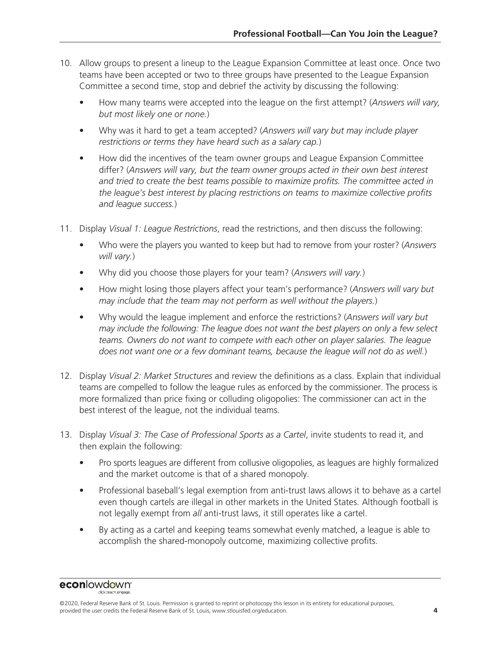- 10. Allow groups to present a lineup to the League Expansion Committee at least once. Once two teams have been accepted or two to three groups have presented to the League Expansion Committee a second time, stop and debrief the activity by discussing the following:
	- How many teams were accepted into the league on the first attempt? (*Answers will vary, but most likely one or none.*)
	- Why was it hard to get a team accepted? (*Answers will vary but may include player restrictions or terms they have heard such as a salary cap.*)
	- How did the incentives of the team owner groups and League Expansion Committee differ? (*Answers will vary, but the team owner groups acted in their own best interest and tried to create the best teams possible to maximize profits. The committee acted in the league's best interest by placing restrictions on teams to maximize collective profits and league success.*)
- 11. Display *Visual 1: League Restrictions*, read the restrictions, and then discuss the following:
	- Who were the players you wanted to keep but had to remove from your roster? (*Answers will vary.*)
	- Why did you choose those players for your team? (*Answers will vary.*)
	- How might losing those players affect your team's performance? (*Answers will vary but may include that the team may not perform as well without the players.*)
	- Why would the league implement and enforce the restrictions? (*Answers will vary but may include the following: The league does not want the best players on only a few select teams. Owners do not want to compete with each other on player salaries. The league does not want one or a few dominant teams, because the league will not do as well.*)
- 12. Display *Visual 2: Market Structures* and review the definitions as a class. Explain that individual teams are compelled to follow the league rules as enforced by the commissioner. The process is more formalized than price fixing or colluding oligopolies: The commissioner can act in the best interest of the league, not the individual teams.
- 13. Display *Visual 3: The Case of Professional Sports as a Cartel*, invite students to read it, and then explain the following:
	- Pro sports leagues are different from collusive oligopolies, as leagues are highly formalized and the market outcome is that of a shared monopoly.
	- Professional baseball's legal exemption from anti-trust laws allows it to behave as a cartel even though cartels are illegal in other markets in the United States. Although football is not legally exempt from *all* anti-trust laws, it still operates like a cartel.
	- By acting as a cartel and keeping teams somewhat evenly matched, a league is able to accomplish the shared-monopoly outcome, maximizing collective profits.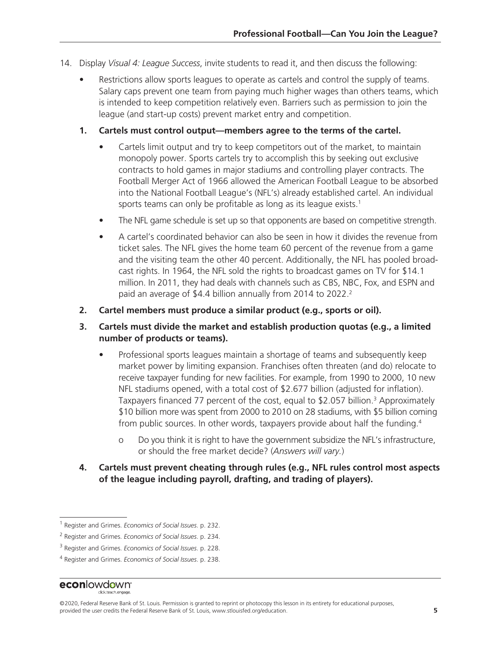- 14. Display *Visual 4: League Success*, invite students to read it, and then discuss the following:
	- Restrictions allow sports leagues to operate as cartels and control the supply of teams. Salary caps prevent one team from paying much higher wages than others teams, which is intended to keep competition relatively even. Barriers such as permission to join the league (and start-up costs) prevent market entry and competition.
	- **1. Cartels must control output—members agree to the terms of the cartel.**
		- Cartels limit output and try to keep competitors out of the market, to maintain monopoly power. Sports cartels try to accomplish this by seeking out exclusive contracts to hold games in major stadiums and controlling player contracts. The Football Merger Act of 1966 allowed the American Football League to be absorbed into the National Football League's (NFL's) already established cartel. An individual sports teams can only be profitable as long as its league exists.<sup>1</sup>
		- The NFL game schedule is set up so that opponents are based on competitive strength.
		- A cartel's coordinated behavior can also be seen in how it divides the revenue from ticket sales. The NFL gives the home team 60 percent of the revenue from a game and the visiting team the other 40 percent. Additionally, the NFL has pooled broadcast rights. In 1964, the NFL sold the rights to broadcast games on TV for \$14.1 million. In 2011, they had deals with channels such as CBS, NBC, Fox, and ESPN and paid an average of \$4.4 billion annually from 2014 to 2022.<sup>2</sup>
	- **2. Cartel members must produce a similar product (e.g., sports or oil).**
	- **3. Cartels must divide the market and establish production quotas (e.g., a limited number of products or teams).**
		- Professional sports leagues maintain a shortage of teams and subsequently keep market power by limiting expansion. Franchises often threaten (and do) relocate to receive taxpayer funding for new facilities. For example, from 1990 to 2000, 10 new NFL stadiums opened, with a total cost of \$2.677 billion (adjusted for inflation). Taxpayers financed 77 percent of the cost, equal to \$2.057 billion.<sup>3</sup> Approximately \$10 billion more was spent from 2000 to 2010 on 28 stadiums, with \$5 billion coming from public sources. In other words, taxpayers provide about half the funding.<sup>4</sup>
			- o Do you think it is right to have the government subsidize the NFL's infrastructure, or should the free market decide? (*Answers will vary.*)
	- **4. Cartels must prevent cheating through rules (e.g., NFL rules control most aspects of the league including payroll, drafting, and trading of players).**

econlowdown<sup>®</sup>

<sup>1</sup> Register and Grimes. *Economics of Social Issues*. p. 232.

<sup>2</sup> Register and Grimes. *Economics of Social Issues*. p. 234.

<sup>3</sup> Register and Grimes. *Economics of Social Issues*. p. 228.

<sup>4</sup> Register and Grimes. *Economics of Social Issues*. p. 238.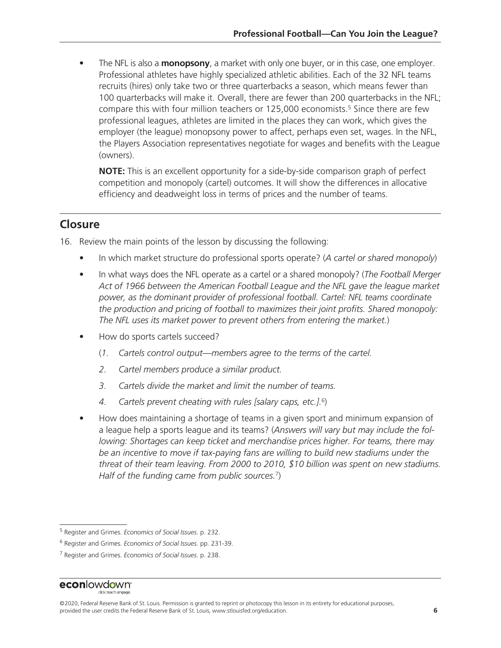• The NFL is also a **monopsony**, a market with only one buyer, or in this case, one employer. Professional athletes have highly specialized athletic abilities. Each of the 32 NFL teams recruits (hires) only take two or three quarterbacks a season, which means fewer than 100 quarterbacks will make it. Overall, there are fewer than 200 quarterbacks in the NFL; compare this with four million teachers or 125,000 economists.<sup>5</sup> Since there are few professional leagues, athletes are limited in the places they can work, which gives the employer (the league) monopsony power to affect, perhaps even set, wages. In the NFL, the Players Association representatives negotiate for wages and benefits with the League (owners).

**NOTE:** This is an excellent opportunity for a side-by-side comparison graph of perfect competition and monopoly (cartel) outcomes. It will show the differences in allocative efficiency and deadweight loss in terms of prices and the number of teams.

### **Closure**

16. Review the main points of the lesson by discussing the following:

- In which market structure do professional sports operate? (*A cartel or shared monopoly*)
- In what ways does the NFL operate as a cartel or a shared monopoly? (*The Football Merger Act of 1966 between the American Football League and the NFL gave the league market power, as the dominant provider of professional football. Cartel: NFL teams coordinate the production and pricing of football to maximizes their joint profits. Shared monopoly: The NFL uses its market power to prevent others from entering the market.*)
- How do sports cartels succeed?
	- (*1. Cartels control output—members agree to the terms of the cartel.*
	- *2. Cartel members produce a similar product.*
	- *3. Cartels divide the market and limit the number of teams.*
	- *4. Cartels prevent cheating with rules [salary caps, etc.].*6)
- How does maintaining a shortage of teams in a given sport and minimum expansion of a league help a sports league and its teams? (*Answers will vary but may include the following: Shortages can keep ticket and merchandise prices higher. For teams, there may be an incentive to move if tax-paying fans are willing to build new stadiums under the threat of their team leaving. From 2000 to 2010, \$10 billion was spent on new stadiums. Half of the funding came from public sources.*7)

<sup>5</sup> Register and Grimes. *Economics of Social Issues*. p. 232.

<sup>6</sup> Register and Grimes. *Economics of Social Issues*. pp. 231-39.

<sup>7</sup> Register and Grimes. *Economics of Social Issues*. p. 238.

<sup>©2020,</sup> Federal Reserve Bank of St. Louis. Permission is granted to reprint or photocopy this lesson in its entirety for educational purposes, provided the user credits the Federal Reserve Bank of St. Louis, www.stlouisfed.org/education. **6**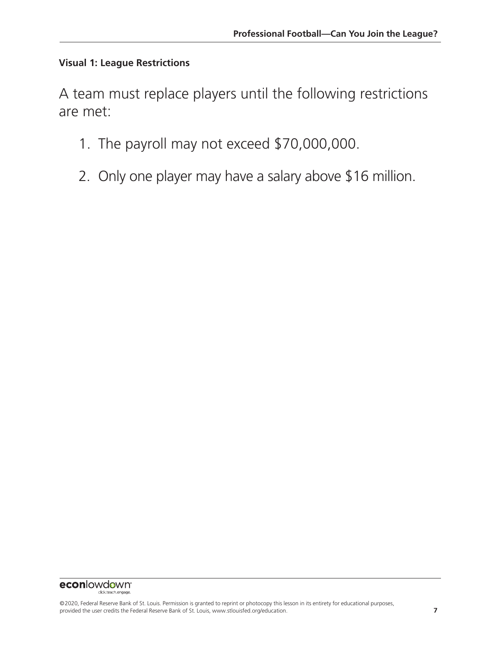### **Visual 1: League Restrictions**

A team must replace players until the following restrictions are met:

- 1. The payroll may not exceed \$70,000,000.
- 2. Only one player may have a salary above \$16 million.

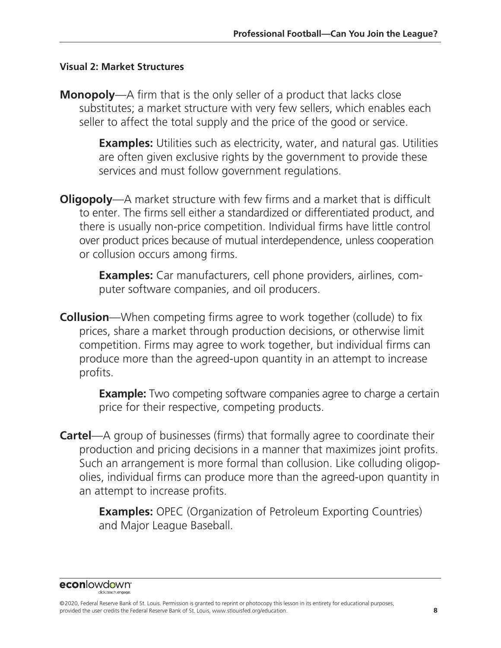#### **Visual 2: Market Structures**

**Monopoly**—A firm that is the only seller of a product that lacks close substitutes; a market structure with very few sellers, which enables each seller to affect the total supply and the price of the good or service.

> **Examples:** Utilities such as electricity, water, and natural gas. Utilities are often given exclusive rights by the government to provide these services and must follow government regulations.

**Oligopoly**—A market structure with few firms and a market that is difficult to enter. The firms sell either a standardized or differentiated product, and there is usually non-price competition. Individual firms have little control over product prices because of mutual interdependence, unless cooperation or collusion occurs among firms.

> **Examples:** Car manufacturers, cell phone providers, airlines, computer software companies, and oil producers.

**Collusion**—When competing firms agree to work together (collude) to fix prices, share a market through production decisions, or otherwise limit competition. Firms may agree to work together, but individual firms can produce more than the agreed-upon quantity in an attempt to increase profits.

> **Example:** Two competing software companies agree to charge a certain price for their respective, competing products.

**Cartel**—A group of businesses (firms) that formally agree to coordinate their production and pricing decisions in a manner that maximizes joint profits. Such an arrangement is more formal than collusion. Like colluding oligopolies, individual firms can produce more than the agreed-upon quantity in an attempt to increase profits.

> **Examples:** OPEC (Organization of Petroleum Exporting Countries) and Major League Baseball.

econlowdown<sup>®</sup>

<sup>©2020,</sup> Federal Reserve Bank of St. Louis. Permission is granted to reprint or photocopy this lesson in its entirety for educational purposes, provided the user credits the Federal Reserve Bank of St. Louis, www.stlouisfed.org/education. **8**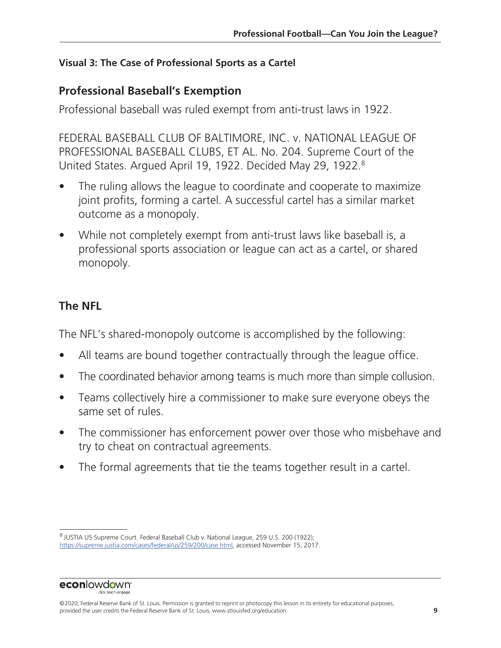### **Visual 3: The Case of Professional Sports as a Cartel**

# **Professional Baseball's Exemption**

Professional baseball was ruled exempt from anti-trust laws in 1922.

FEDERAL BASEBALL CLUB OF BALTIMORE, INC. v. NATIONAL LEAGUE OF PROFESSIONAL BASEBALL CLUBS, ET AL. No. 204. Supreme Court of the United States. Argued April 19, 1922. Decided May 29, 1922.8

- The ruling allows the league to coordinate and cooperate to maximize joint profits, forming a cartel. A successful cartel has a similar market outcome as a monopoly.
- While not completely exempt from anti-trust laws like baseball is, a professional sports association or league can act as a cartel, or shared monopoly.

# **The NFL**

The NFL's shared-monopoly outcome is accomplished by the following:

- All teams are bound together contractually through the league office.
- The coordinated behavior among teams is much more than simple collusion.
- Teams collectively hire a commissioner to make sure everyone obeys the same set of rules.
- The commissioner has enforcement power over those who misbehave and try to cheat on contractual agreements.
- The formal agreements that tie the teams together result in a cartel.

<sup>8</sup> JUSTIA US Supreme Court. Federal Baseball Club v. National League, 259 U.S. 200 (1922); <https://supreme.justia.com/cases/federal/us/259/200/case.html>, accessed November 15, 2017.

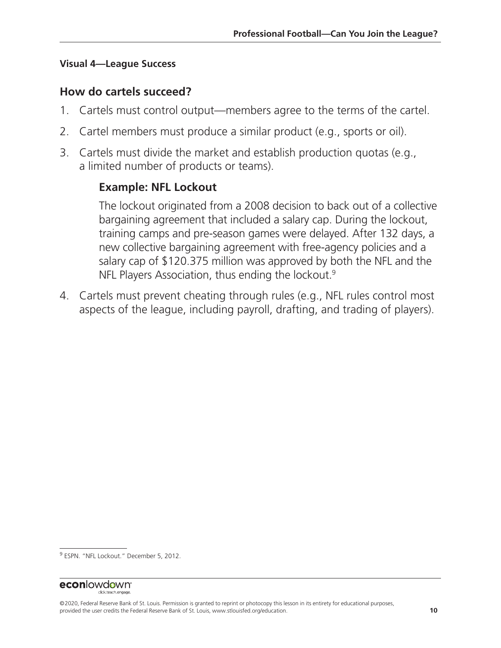#### **Visual 4—League Success**

### **How do cartels succeed?**

- 1. Cartels must control output—members agree to the terms of the cartel.
- 2. Cartel members must produce a similar product (e.g., sports or oil).
- 3. Cartels must divide the market and establish production quotas (e.g., a limited number of products or teams).

## **Example: NFL Lockout**

 The lockout originated from a 2008 decision to back out of a collective bargaining agreement that included a salary cap. During the lockout, training camps and pre-season games were delayed. After 132 days, a new collective bargaining agreement with free-agency policies and a salary cap of \$120.375 million was approved by both the NFL and the NFL Players Association, thus ending the lockout.<sup>9</sup>

4. Cartels must prevent cheating through rules (e.g., NFL rules control most aspects of the league, including payroll, drafting, and trading of players).

<sup>&</sup>lt;sup>9</sup> ESPN. "NFL Lockout." December 5, 2012.

<sup>©2020,</sup> Federal Reserve Bank of St. Louis. Permission is granted to reprint or photocopy this lesson in its entirety for educational purposes, provided the user credits the Federal Reserve Bank of St. Louis, www.stlouisfed.org/education. **10**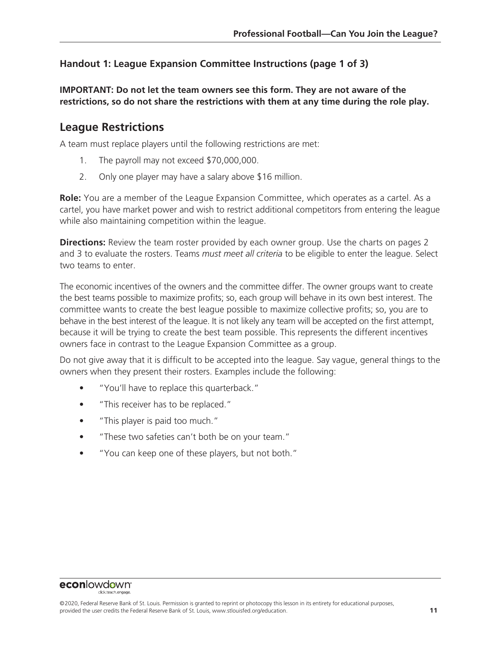#### **Handout 1: League Expansion Committee Instructions (page 1 of 3)**

**IMPORTANT: Do not let the team owners see this form. They are not aware of the restrictions, so do not share the restrictions with them at any time during the role play.**

#### **League Restrictions**

A team must replace players until the following restrictions are met:

- 1. The payroll may not exceed \$70,000,000.
- 2. Only one player may have a salary above \$16 million.

**Role:** You are a member of the League Expansion Committee, which operates as a cartel. As a cartel, you have market power and wish to restrict additional competitors from entering the league while also maintaining competition within the league.

**Directions:** Review the team roster provided by each owner group. Use the charts on pages 2 and 3 to evaluate the rosters. Teams *must meet all criteria* to be eligible to enter the league. Select two teams to enter.

The economic incentives of the owners and the committee differ. The owner groups want to create the best teams possible to maximize profits; so, each group will behave in its own best interest. The committee wants to create the best league possible to maximize collective profits; so, you are to behave in the best interest of the league. It is not likely any team will be accepted on the first attempt, because it will be trying to create the best team possible. This represents the different incentives owners face in contrast to the League Expansion Committee as a group.

Do not give away that it is difficult to be accepted into the league. Say vague, general things to the owners when they present their rosters. Examples include the following:

- "You'll have to replace this quarterback."
- "This receiver has to be replaced."
- "This player is paid too much."
- "These two safeties can't both be on your team."
- "You can keep one of these players, but not both."

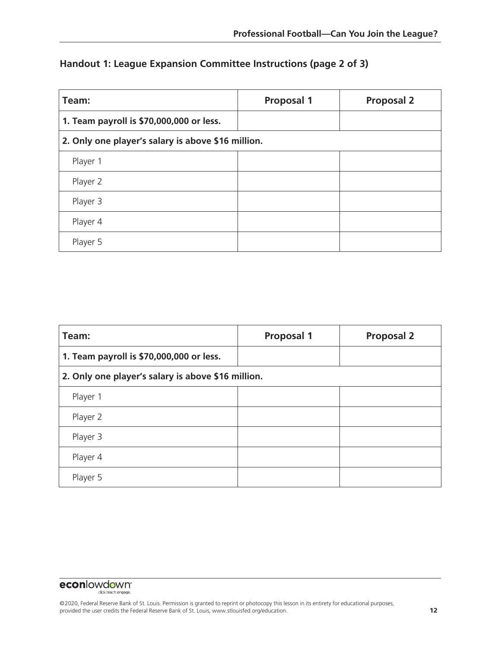### **Handout 1: League Expansion Committee Instructions (page 2 of 3)**

| Team:                                              | <b>Proposal 1</b> | <b>Proposal 2</b> |  |
|----------------------------------------------------|-------------------|-------------------|--|
| 1. Team payroll is \$70,000,000 or less.           |                   |                   |  |
| 2. Only one player's salary is above \$16 million. |                   |                   |  |
| Player 1                                           |                   |                   |  |
| Player 2                                           |                   |                   |  |
| Player 3                                           |                   |                   |  |
| Player 4                                           |                   |                   |  |
| Player 5                                           |                   |                   |  |

| Team:                                              | <b>Proposal 1</b> | <b>Proposal 2</b> |  |
|----------------------------------------------------|-------------------|-------------------|--|
| 1. Team payroll is \$70,000,000 or less.           |                   |                   |  |
| 2. Only one player's salary is above \$16 million. |                   |                   |  |
| Player 1                                           |                   |                   |  |
| Player 2                                           |                   |                   |  |
| Player 3                                           |                   |                   |  |
| Player 4                                           |                   |                   |  |
| Player 5                                           |                   |                   |  |

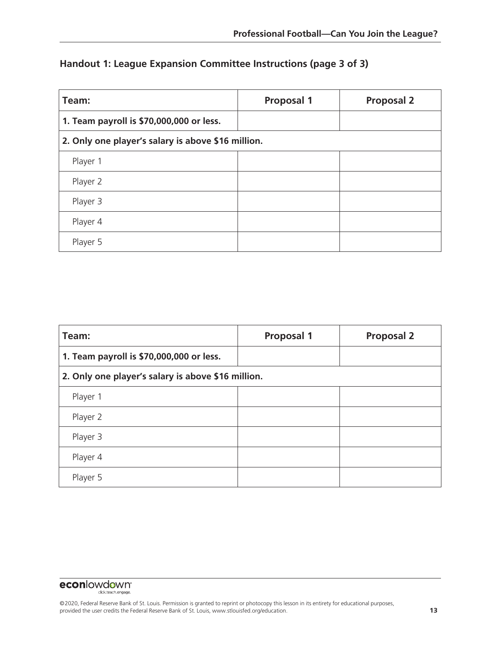### **Handout 1: League Expansion Committee Instructions (page 3 of 3)**

| Team:                                              | <b>Proposal 1</b> | <b>Proposal 2</b> |  |
|----------------------------------------------------|-------------------|-------------------|--|
| 1. Team payroll is \$70,000,000 or less.           |                   |                   |  |
| 2. Only one player's salary is above \$16 million. |                   |                   |  |
| Player 1                                           |                   |                   |  |
| Player 2                                           |                   |                   |  |
| Player 3                                           |                   |                   |  |
| Player 4                                           |                   |                   |  |
| Player 5                                           |                   |                   |  |

| Team:                                              | <b>Proposal 1</b> | <b>Proposal 2</b> |  |
|----------------------------------------------------|-------------------|-------------------|--|
| 1. Team payroll is \$70,000,000 or less.           |                   |                   |  |
| 2. Only one player's salary is above \$16 million. |                   |                   |  |
| Player 1                                           |                   |                   |  |
| Player 2                                           |                   |                   |  |
| Player 3                                           |                   |                   |  |
| Player 4                                           |                   |                   |  |
| Player 5                                           |                   |                   |  |

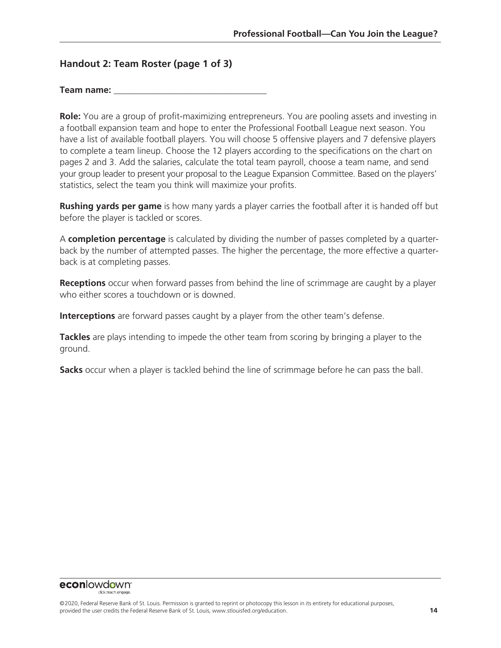#### **Handout 2: Team Roster (page 1 of 3)**

**Role:** You are a group of profit-maximizing entrepreneurs. You are pooling assets and investing in a football expansion team and hope to enter the Professional Football League next season. You have a list of available football players. You will choose 5 offensive players and 7 defensive players to complete a team lineup. Choose the 12 players according to the specifications on the chart on pages 2 and 3. Add the salaries, calculate the total team payroll, choose a team name, and send your group leader to present your proposal to the League Expansion Committee. Based on the players' statistics, select the team you think will maximize your profits.

**Rushing yards per game** is how many yards a player carries the football after it is handed off but before the player is tackled or scores.

A **completion percentage** is calculated by dividing the number of passes completed by a quarterback by the number of attempted passes. The higher the percentage, the more effective a quarterback is at completing passes.

**Receptions** occur when forward passes from behind the line of scrimmage are caught by a player who either scores a touchdown or is downed.

**Interceptions** are forward passes caught by a player from the other team's defense.

**Tackles** are plays intending to impede the other team from scoring by bringing a player to the ground.

**Sacks** occur when a player is tackled behind the line of scrimmage before he can pass the ball.

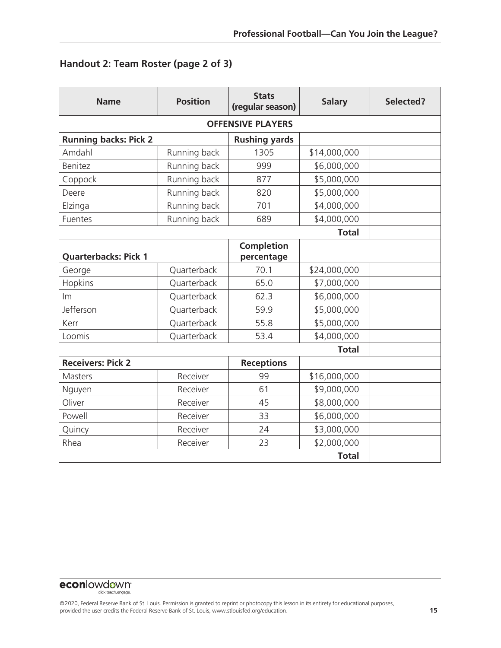### **Handout 2: Team Roster (page 2 of 3)**

| <b>Name</b>                  | <b>Position</b> | <b>Stats</b><br>(regular season) | <b>Salary</b> | Selected? |
|------------------------------|-----------------|----------------------------------|---------------|-----------|
| <b>OFFENSIVE PLAYERS</b>     |                 |                                  |               |           |
| <b>Running backs: Pick 2</b> |                 | <b>Rushing yards</b>             |               |           |
| Amdahl                       | Running back    | 1305                             | \$14,000,000  |           |
| <b>Benitez</b>               | Running back    | 999                              | \$6,000,000   |           |
| Coppock                      | Running back    | 877                              | \$5,000,000   |           |
| Deere                        | Running back    | 820                              | \$5,000,000   |           |
| Elzinga                      | Running back    | 701                              | \$4,000,000   |           |
| Fuentes                      | Running back    | 689                              | \$4,000,000   |           |
|                              |                 |                                  | <b>Total</b>  |           |
| <b>Quarterbacks: Pick 1</b>  |                 | <b>Completion</b><br>percentage  |               |           |
| George                       | Quarterback     | 70.1                             | \$24,000,000  |           |
| Hopkins                      | Quarterback     | 65.0                             | \$7,000,000   |           |
| Im                           | Quarterback     | 62.3                             | \$6,000,000   |           |
| Jefferson                    | Quarterback     | 59.9                             | \$5,000,000   |           |
| Kerr                         | Quarterback     | 55.8                             | \$5,000,000   |           |
| Loomis                       | Quarterback     | 53.4                             | \$4,000,000   |           |
|                              |                 |                                  | <b>Total</b>  |           |
| <b>Receivers: Pick 2</b>     |                 | <b>Receptions</b>                |               |           |
| <b>Masters</b>               | Receiver        | 99                               | \$16,000,000  |           |
| Nguyen                       | Receiver        | 61                               | \$9,000,000   |           |
| Oliver                       | Receiver        | 45                               | \$8,000,000   |           |
| Powell                       | Receiver        | 33                               | \$6,000,000   |           |
| Quincy                       | Receiver        | 24                               | \$3,000,000   |           |
| Rhea                         | Receiver        | 23                               | \$2,000,000   |           |
|                              | <b>Total</b>    |                                  |               |           |

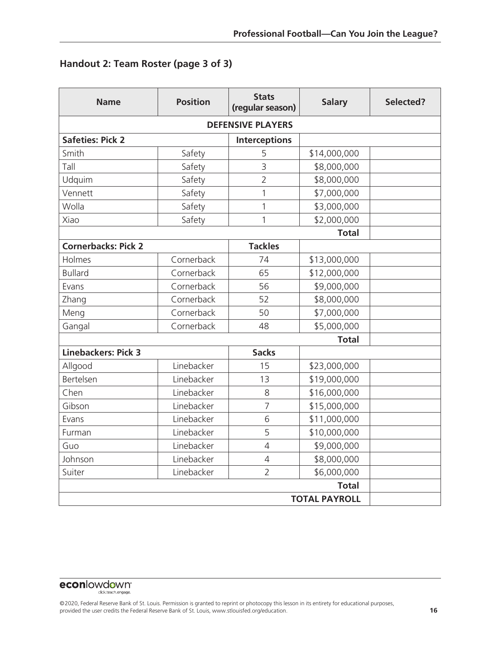### **Handout 2: Team Roster (page 3 of 3)**

| <b>Name</b>                | <b>Position</b> | <b>Stats</b><br>(regular season) | <b>Salary</b> | Selected? |
|----------------------------|-----------------|----------------------------------|---------------|-----------|
| <b>DEFENSIVE PLAYERS</b>   |                 |                                  |               |           |
| <b>Safeties: Pick 2</b>    |                 | <b>Interceptions</b>             |               |           |
| Smith                      | Safety          | 5                                | \$14,000,000  |           |
| Tall                       | Safety          | 3                                | \$8,000,000   |           |
| Udquim                     | Safety          | $\overline{2}$                   | \$8,000,000   |           |
| Vennett                    | Safety          | $\mathbf{1}$                     | \$7,000,000   |           |
| Wolla                      | Safety          | 1                                | \$3,000,000   |           |
| Xiao                       | Safety          | 1                                | \$2,000,000   |           |
|                            |                 |                                  | <b>Total</b>  |           |
| <b>Cornerbacks: Pick 2</b> |                 | <b>Tackles</b>                   |               |           |
| Holmes                     | Cornerback      | 74                               | \$13,000,000  |           |
| <b>Bullard</b>             | Cornerback      | 65                               | \$12,000,000  |           |
| Evans                      | Cornerback      | 56                               | \$9,000,000   |           |
| Zhang                      | Cornerback      | 52                               | \$8,000,000   |           |
| Meng                       | Cornerback      | 50                               | \$7,000,000   |           |
| Gangal                     | Cornerback      | 48                               | \$5,000,000   |           |
|                            |                 |                                  | <b>Total</b>  |           |
| <b>Linebackers: Pick 3</b> |                 | <b>Sacks</b>                     |               |           |
| Allgood                    | Linebacker      | 15                               | \$23,000,000  |           |
| Bertelsen                  | Linebacker      | 13                               | \$19,000,000  |           |
| Chen                       | Linebacker      | 8                                | \$16,000,000  |           |
| Gibson                     | Linebacker      | $\overline{7}$                   | \$15,000,000  |           |
| Evans                      | Linebacker      | 6                                | \$11,000,000  |           |
| Furman                     | Linebacker      | 5                                | \$10,000,000  |           |
| Guo                        | Linebacker      | $\overline{4}$                   | \$9,000,000   |           |
| Johnson                    | Linebacker      | $\overline{4}$                   | \$8,000,000   |           |
| Suiter                     | Linebacker      | $\overline{2}$                   | \$6,000,000   |           |
| <b>Total</b>               |                 |                                  |               |           |
| <b>TOTAL PAYROLL</b>       |                 |                                  |               |           |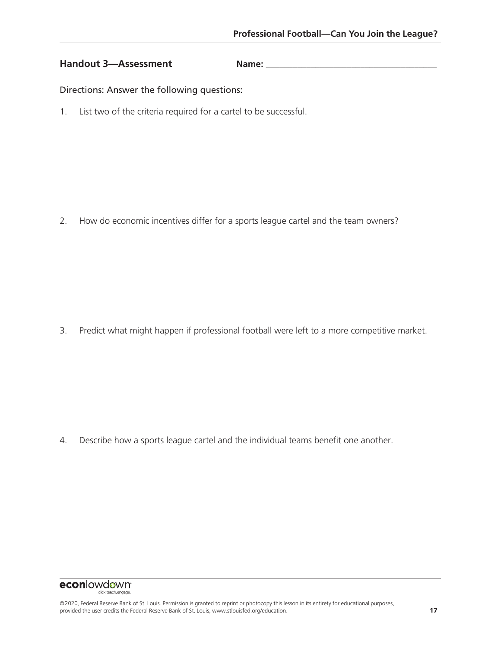#### Handout 3—Assessment Name:

Directions: Answer the following questions:

1. List two of the criteria required for a cartel to be successful.

2. How do economic incentives differ for a sports league cartel and the team owners?

3. Predict what might happen if professional football were left to a more competitive market.

4. Describe how a sports league cartel and the individual teams benefit one another.

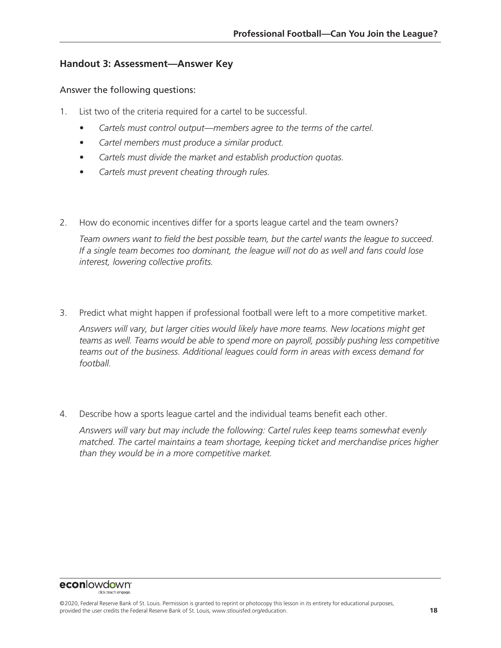#### **Handout 3: Assessment—Answer Key**

#### Answer the following questions:

- 1. List two of the criteria required for a cartel to be successful.
	- *• Cartels must control output—members agree to the terms of the cartel.*
	- *• Cartel members must produce a similar product.*
	- *• Cartels must divide the market and establish production quotas.*
	- *• Cartels must prevent cheating through rules.*
- 2. How do economic incentives differ for a sports league cartel and the team owners?

*Team owners want to field the best possible team, but the cartel wants the league to succeed. If a single team becomes too dominant, the league will not do as well and fans could lose interest, lowering collective profits.*

- 3. Predict what might happen if professional football were left to a more competitive market. *Answers will vary, but larger cities would likely have more teams. New locations might get*  teams as well. Teams would be able to spend more on payroll, possibly pushing less competitive *teams out of the business. Additional leagues could form in areas with excess demand for football.*
- 4. Describe how a sports league cartel and the individual teams benefit each other.

*Answers will vary but may include the following: Cartel rules keep teams somewhat evenly matched. The cartel maintains a team shortage, keeping ticket and merchandise prices higher than they would be in a more competitive market.*